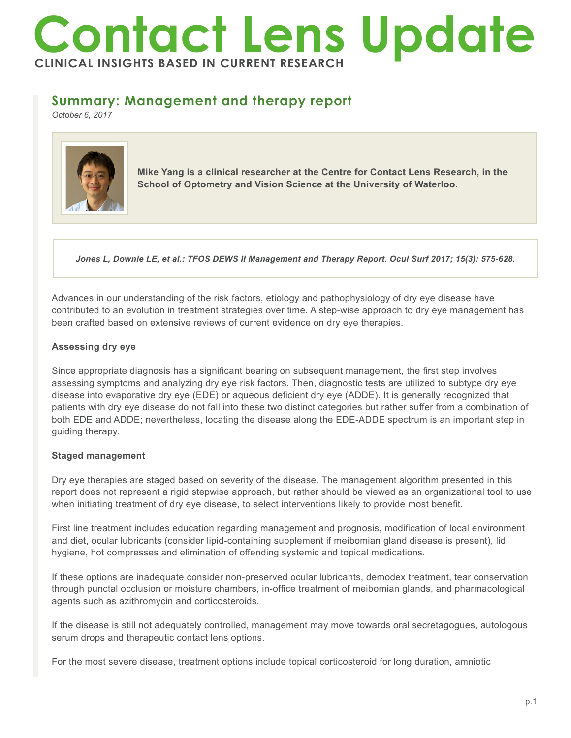# **Contact Lens Update CLINICAL INSIGHTS BASED IN CURRENT RESEARCH**

## **Summary: Management and therapy report**

*October 6, 2017*



**Mike Yang is a clinical researcher at the Centre for Contact Lens Research, in the School of Optometry and Vision Science at the University of Waterloo.**

*Jones L, Downie LE, et al.: TFOS DEWS II Management and Therapy Report. Ocul Surf 2017; 15(3): 575-628.*

Advances in our understanding of the risk factors, etiology and pathophysiology of dry eye disease have contributed to an evolution in treatment strategies over time. A step-wise approach to dry eye management has been crafted based on extensive reviews of current evidence on dry eye therapies.

#### **Assessing dry eye**

Since appropriate diagnosis has a significant bearing on subsequent management, the first step involves assessing symptoms and analyzing dry eye risk factors. Then, diagnostic tests are utilized to subtype dry eye disease into evaporative dry eye (EDE) or aqueous deficient dry eye (ADDE). It is generally recognized that patients with dry eye disease do not fall into these two distinct categories but rather suffer from a combination of both EDE and ADDE; nevertheless, locating the disease along the EDE-ADDE spectrum is an important step in guiding therapy.

### **Staged management**

Dry eye therapies are staged based on severity of the disease. The management algorithm presented in this report does not represent a rigid stepwise approach, but rather should be viewed as an organizational tool to use when initiating treatment of dry eye disease, to select interventions likely to provide most benefit.

First line treatment includes education regarding management and prognosis, modification of local environment and diet, ocular lubricants (consider lipid-containing supplement if meibomian gland disease is present), lid hygiene, hot compresses and elimination of offending systemic and topical medications.

If these options are inadequate consider non-preserved ocular lubricants, demodex treatment, tear conservation through punctal occlusion or moisture chambers, in-office treatment of meibomian glands, and pharmacological agents such as azithromycin and corticosteroids.

If the disease is still not adequately controlled, management may move towards oral secretagogues, autologous serum drops and therapeutic contact lens options.

For the most severe disease, treatment options include topical corticosteroid for long duration, amniotic